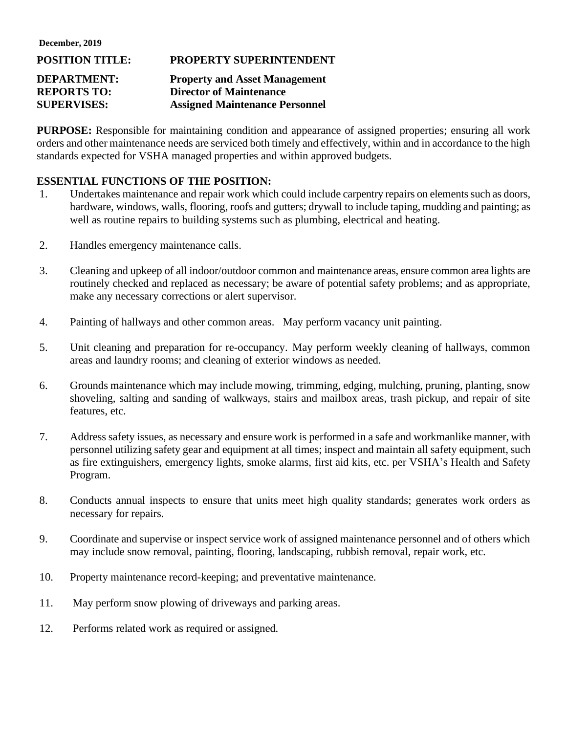**December, 2019**

## **POSITION TITLE: PROPERTY SUPERINTENDENT DEPARTMENT: Property and Asset Management REPORTS TO: Director of Maintenance SUPERVISES: Assigned Maintenance Personnel**

**PURPOSE:** Responsible for maintaining condition and appearance of assigned properties; ensuring all work orders and other maintenance needs are serviced both timely and effectively, within and in accordance to the high standards expected for VSHA managed properties and within approved budgets.

## **ESSENTIAL FUNCTIONS OF THE POSITION:**

- 1. Undertakes maintenance and repair work which could include carpentry repairs on elements such as doors, hardware, windows, walls, flooring, roofs and gutters; drywall to include taping, mudding and painting; as well as routine repairs to building systems such as plumbing, electrical and heating.
- 2. Handles emergency maintenance calls.
- 3. Cleaning and upkeep of all indoor/outdoor common and maintenance areas, ensure common area lights are routinely checked and replaced as necessary; be aware of potential safety problems; and as appropriate, make any necessary corrections or alert supervisor.
- 4. Painting of hallways and other common areas. May perform vacancy unit painting.
- 5. Unit cleaning and preparation for re-occupancy. May perform weekly cleaning of hallways, common areas and laundry rooms; and cleaning of exterior windows as needed.
- 6. Grounds maintenance which may include mowing, trimming, edging, mulching, pruning, planting, snow shoveling, salting and sanding of walkways, stairs and mailbox areas, trash pickup, and repair of site features, etc.
- 7. Address safety issues, as necessary and ensure work is performed in a safe and workmanlike manner, with personnel utilizing safety gear and equipment at all times; inspect and maintain all safety equipment, such as fire extinguishers, emergency lights, smoke alarms, first aid kits, etc. per VSHA's Health and Safety Program.
- 8. Conducts annual inspects to ensure that units meet high quality standards; generates work orders as necessary for repairs.
- 9. Coordinate and supervise or inspect service work of assigned maintenance personnel and of others which may include snow removal, painting, flooring, landscaping, rubbish removal, repair work, etc.
- 10. Property maintenance record-keeping; and preventative maintenance.
- 11. May perform snow plowing of driveways and parking areas.
- 12. Performs related work as required or assigned.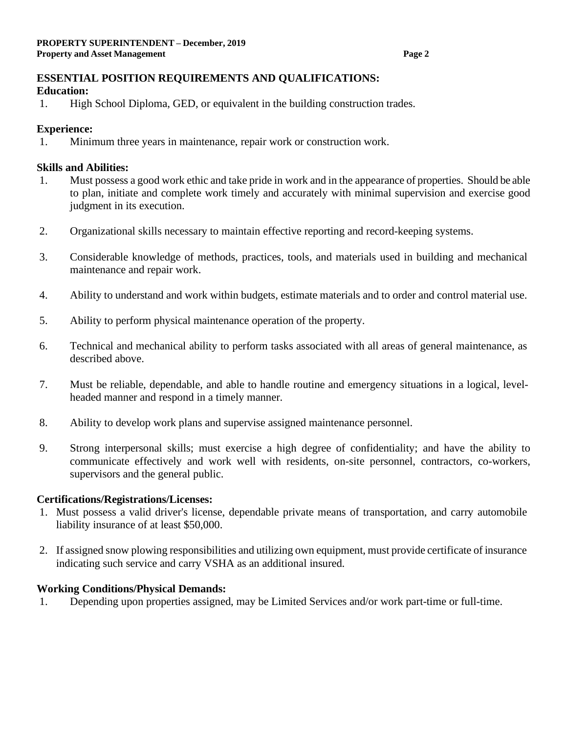# **ESSENTIAL POSITION REQUIREMENTS AND QUALIFICATIONS:**

### **Education:**

1. High School Diploma, GED, or equivalent in the building construction trades.

## **Experience:**

1. Minimum three years in maintenance, repair work or construction work.

## **Skills and Abilities:**

- 1. Must possess a good work ethic and take pride in work and in the appearance of properties. Should be able to plan, initiate and complete work timely and accurately with minimal supervision and exercise good judgment in its execution.
- 2. Organizational skills necessary to maintain effective reporting and record-keeping systems.
- 3. Considerable knowledge of methods, practices, tools, and materials used in building and mechanical maintenance and repair work.
- 4. Ability to understand and work within budgets, estimate materials and to order and control material use.
- 5. Ability to perform physical maintenance operation of the property.
- 6. Technical and mechanical ability to perform tasks associated with all areas of general maintenance, as described above.
- 7. Must be reliable, dependable, and able to handle routine and emergency situations in a logical, levelheaded manner and respond in a timely manner.
- 8. Ability to develop work plans and supervise assigned maintenance personnel.
- 9. Strong interpersonal skills; must exercise a high degree of confidentiality; and have the ability to communicate effectively and work well with residents, on-site personnel, contractors, co-workers, supervisors and the general public.

## **Certifications/Registrations/Licenses:**

- 1. Must possess a valid driver's license, dependable private means of transportation, and carry automobile liability insurance of at least \$50,000.
- 2. If assigned snow plowing responsibilities and utilizing own equipment, must provide certificate of insurance indicating such service and carry VSHA as an additional insured.

#### **Working Conditions/Physical Demands:**

1. Depending upon properties assigned, may be Limited Services and/or work part-time or full-time.